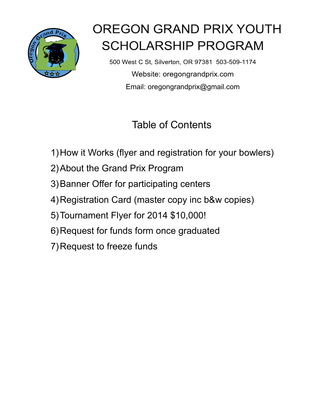

## OREGON GRAND PRIX YOUTH **SCHOLARSHIP PROGRAM**

500 West C St, Silverton, OR 97381 503-509-1174 Website: oregongrandprix.com Email: oregongrandprix@gmail.com

Table of Contents

- 1)How it Works (flyer and registration for your bowlers)
- 2)About the Grand Prix Program
- 3)Banner Offer for participating centers
- 4)Registration Card (master copy inc b&w copies)
- 5)Tournament Flyer for 2014 \$10,000!
- 6)Request for funds form once graduated
- 7)Request to freeze funds